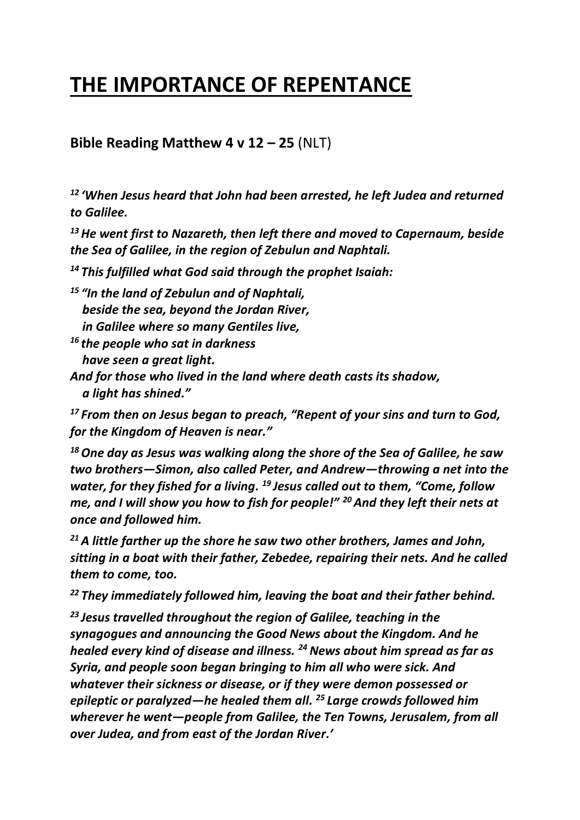## **THE IMPORTANCE OF REPENTANCE**

**Bible Reading Matthew 4 v 12 – 25** (NLT)

*12 'When Jesus heard that John had been arrested, he left Judea and returned to Galilee.* 

*<sup>13</sup>He went first to Nazareth, then left there and moved to Capernaum, beside the Sea of Galilee, in the region of Zebulun and Naphtali.* 

*<sup>14</sup> This fulfilled what God said through the prophet Isaiah:*

*<sup>15</sup> "In the land of Zebulun and of Naphtali, beside the sea, beyond the Jordan River, in Galilee where so many Gentiles live,*

*<sup>16</sup> the people who sat in darkness have seen a great light.*

*And for those who lived in the land where death casts its shadow, a light has shined."*

*<sup>17</sup> From then on Jesus began to preach, "Repent of your sins and turn to God, for the Kingdom of Heaven is near."*

*<sup>18</sup>One day as Jesus was walking along the shore of the Sea of Galilee, he saw two brothers—Simon, also called Peter, and Andrew—throwing a net into the water, for they fished for a living. <sup>19</sup> Jesus called out to them, "Come, follow me, and I will show you how to fish for people!" <sup>20</sup>And they left their nets at once and followed him.*

*<sup>21</sup>A little farther up the shore he saw two other brothers, James and John, sitting in a boat with their father, Zebedee, repairing their nets. And he called them to come, too.* 

*<sup>22</sup> They immediately followed him, leaving the boat and their father behind.*

*<sup>23</sup> Jesus travelled throughout the region of Galilee, teaching in the synagogues and announcing the Good News about the Kingdom. And he healed every kind of disease and illness. <sup>24</sup> News about him spread as far as Syria, and people soon began bringing to him all who were sick. And whatever their sickness or disease, or if they were demon possessed or epileptic or paralyzed—he healed them all. <sup>25</sup> Large crowds followed him wherever he went—people from Galilee, the Ten Towns, Jerusalem, from all over Judea, and from east of the Jordan River.'*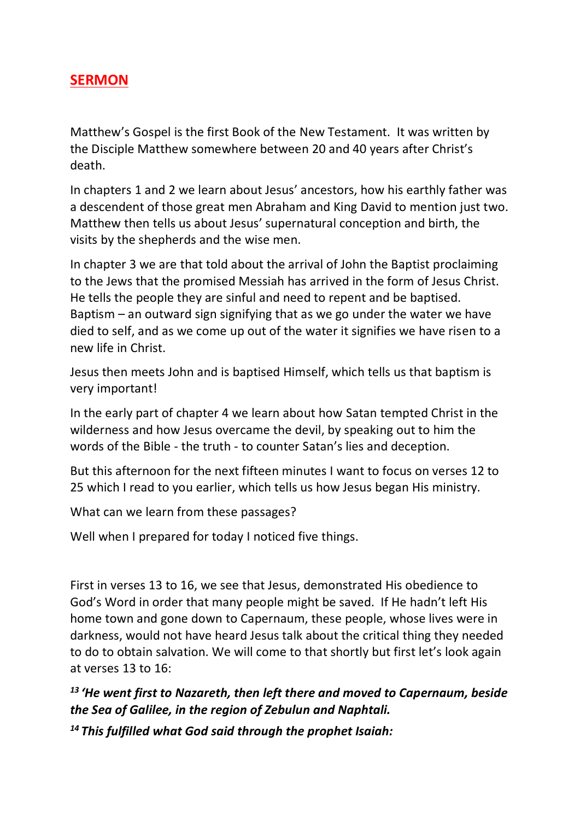## **SERMON**

Matthew's Gospel is the first Book of the New Testament. It was written by the Disciple Matthew somewhere between 20 and 40 years after Christ's death.

In chapters 1 and 2 we learn about Jesus' ancestors, how his earthly father was a descendent of those great men Abraham and King David to mention just two. Matthew then tells us about Jesus' supernatural conception and birth, the visits by the shepherds and the wise men.

In chapter 3 we are that told about the arrival of John the Baptist proclaiming to the Jews that the promised Messiah has arrived in the form of Jesus Christ. He tells the people they are sinful and need to repent and be baptised. Baptism – an outward sign signifying that as we go under the water we have died to self, and as we come up out of the water it signifies we have risen to a new life in Christ.

Jesus then meets John and is baptised Himself, which tells us that baptism is very important!

In the early part of chapter 4 we learn about how Satan tempted Christ in the wilderness and how Jesus overcame the devil, by speaking out to him the words of the Bible - the truth - to counter Satan's lies and deception.

But this afternoon for the next fifteen minutes I want to focus on verses 12 to 25 which I read to you earlier, which tells us how Jesus began His ministry.

What can we learn from these passages?

Well when I prepared for today I noticed five things.

First in verses 13 to 16, we see that Jesus, demonstrated His obedience to God's Word in order that many people might be saved. If He hadn't left His home town and gone down to Capernaum, these people, whose lives were in darkness, would not have heard Jesus talk about the critical thing they needed to do to obtain salvation. We will come to that shortly but first let's look again at verses 13 to 16:

*13 'He went first to Nazareth, then left there and moved to Capernaum, beside the Sea of Galilee, in the region of Zebulun and Naphtali.* 

*<sup>14</sup> This fulfilled what God said through the prophet Isaiah:*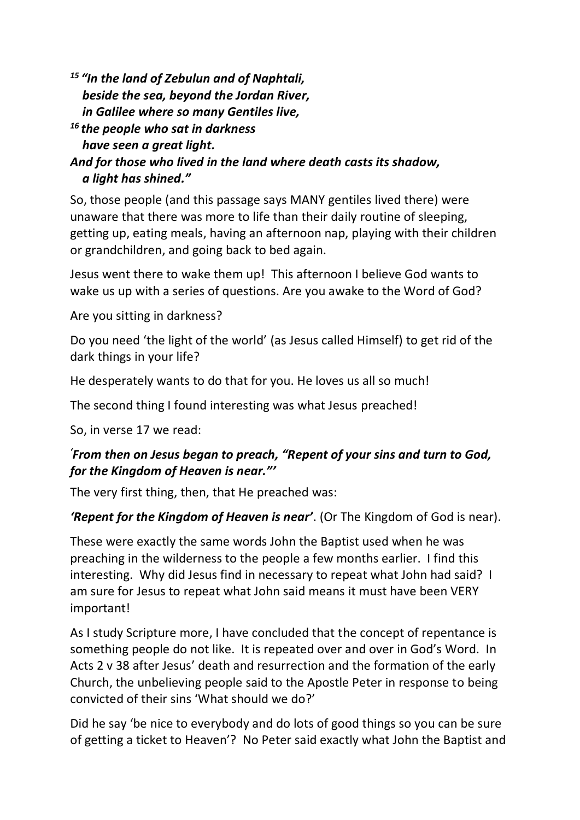*<sup>15</sup> "In the land of Zebulun and of Naphtali, beside the sea, beyond the Jordan River, in Galilee where so many Gentiles live,*

*<sup>16</sup> the people who sat in darkness have seen a great light. And for those who lived in the land where death casts its shadow, a light has shined."*

So, those people (and this passage says MANY gentiles lived there) were unaware that there was more to life than their daily routine of sleeping, getting up, eating meals, having an afternoon nap, playing with their children or grandchildren, and going back to bed again.

Jesus went there to wake them up! This afternoon I believe God wants to wake us up with a series of questions. Are you awake to the Word of God?

Are you sitting in darkness?

Do you need 'the light of the world' (as Jesus called Himself) to get rid of the dark things in your life?

He desperately wants to do that for you. He loves us all so much!

The second thing I found interesting was what Jesus preached!

So, in verse 17 we read:

## *'From then on Jesus began to preach, "Repent of your sins and turn to God, for the Kingdom of Heaven is near."'*

The very first thing, then, that He preached was:

*'Repent for the Kingdom of Heaven is near'*. (Or The Kingdom of God is near).

These were exactly the same words John the Baptist used when he was preaching in the wilderness to the people a few months earlier. I find this interesting. Why did Jesus find in necessary to repeat what John had said? I am sure for Jesus to repeat what John said means it must have been VERY important!

As I study Scripture more, I have concluded that the concept of repentance is something people do not like. It is repeated over and over in God's Word. In Acts 2 v 38 after Jesus' death and resurrection and the formation of the early Church, the unbelieving people said to the Apostle Peter in response to being convicted of their sins 'What should we do?'

Did he say 'be nice to everybody and do lots of good things so you can be sure of getting a ticket to Heaven'? No Peter said exactly what John the Baptist and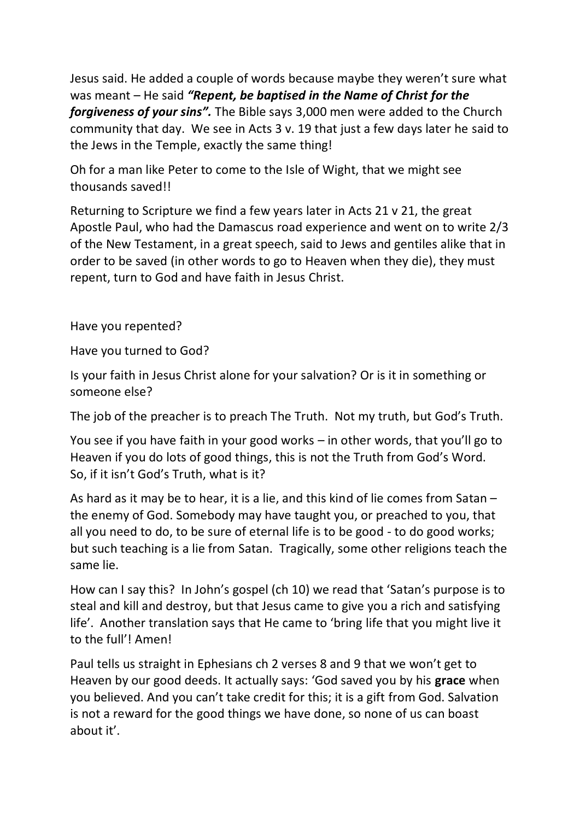Jesus said. He added a couple of words because maybe they weren't sure what was meant – He said *"Repent, be baptised in the Name of Christ for the forgiveness of your sins".* The Bible says 3,000 men were added to the Church community that day. We see in Acts 3 v. 19 that just a few days later he said to the Jews in the Temple, exactly the same thing!

Oh for a man like Peter to come to the Isle of Wight, that we might see thousands saved!!

Returning to Scripture we find a few years later in Acts 21 v 21, the great Apostle Paul, who had the Damascus road experience and went on to write 2/3 of the New Testament, in a great speech, said to Jews and gentiles alike that in order to be saved (in other words to go to Heaven when they die), they must repent, turn to God and have faith in Jesus Christ.

Have you repented?

Have you turned to God?

Is your faith in Jesus Christ alone for your salvation? Or is it in something or someone else?

The job of the preacher is to preach The Truth. Not my truth, but God's Truth.

You see if you have faith in your good works – in other words, that you'll go to Heaven if you do lots of good things, this is not the Truth from God's Word. So, if it isn't God's Truth, what is it?

As hard as it may be to hear, it is a lie, and this kind of lie comes from Satan – the enemy of God. Somebody may have taught you, or preached to you, that all you need to do, to be sure of eternal life is to be good - to do good works; but such teaching is a lie from Satan. Tragically, some other religions teach the same lie.

How can I say this? In John's gospel (ch 10) we read that 'Satan's purpose is to steal and kill and destroy, but that Jesus came to give you a rich and satisfying life'. Another translation says that He came to 'bring life that you might live it to the full'! Amen!

Paul tells us straight in Ephesians ch 2 verses 8 and 9 that we won't get to Heaven by our good deeds. It actually says: 'God saved you by his **grace** when you believed. And you can't take credit for this; it is a gift from God. Salvation is not a reward for the good things we have done, so none of us can boast about it'.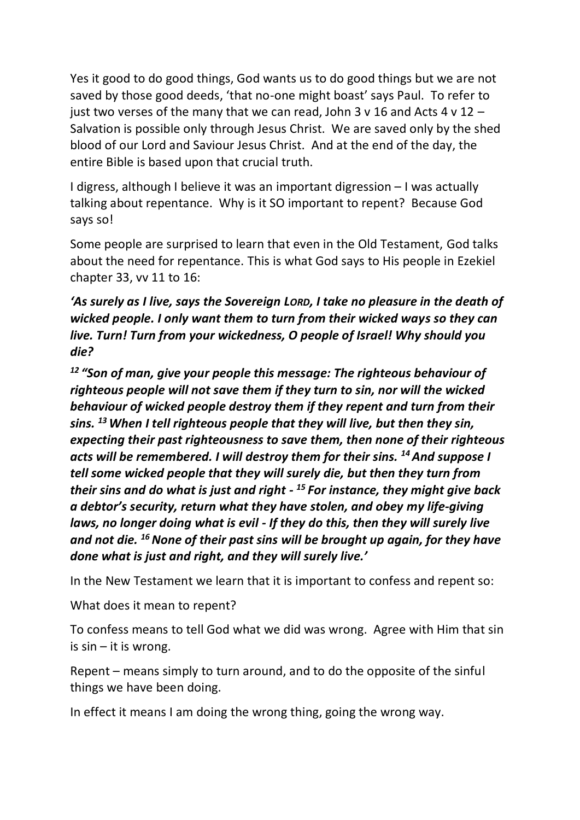Yes it good to do good things, God wants us to do good things but we are not saved by those good deeds, 'that no-one might boast' says Paul. To refer to just two verses of the many that we can read, John 3 v 16 and Acts 4 v 12  $-$ Salvation is possible only through Jesus Christ. We are saved only by the shed blood of our Lord and Saviour Jesus Christ. And at the end of the day, the entire Bible is based upon that crucial truth.

I digress, although I believe it was an important digression – I was actually talking about repentance. Why is it SO important to repent? Because God says so!

Some people are surprised to learn that even in the Old Testament, God talks about the need for repentance. This is what God says to His people in Ezekiel chapter 33, vv 11 to 16:

*'As surely as I live, says the Sovereign LORD, I take no pleasure in the death of wicked people. I only want them to turn from their wicked ways so they can live. Turn! Turn from your wickedness, O people of Israel! Why should you die?*

*<sup>12</sup> "Son of man, give your people this message: The righteous behaviour of righteous people will not save them if they turn to sin, nor will the wicked behaviour of wicked people destroy them if they repent and turn from their sins. <sup>13</sup>When I tell righteous people that they will live, but then they sin, expecting their past righteousness to save them, then none of their righteous acts will be remembered. I will destroy them for their sins. <sup>14</sup>And suppose I tell some wicked people that they will surely die, but then they turn from their sins and do what is just and right - <sup>15</sup> For instance, they might give back a debtor's security, return what they have stolen, and obey my life-giving laws, no longer doing what is evil - If they do this, then they will surely live and not die. <sup>16</sup>None of their past sins will be brought up again, for they have done what is just and right, and they will surely live.'*

In the New Testament we learn that it is important to confess and repent so:

What does it mean to repent?

To confess means to tell God what we did was wrong. Agree with Him that sin is  $sin - it$  is wrong.

Repent – means simply to turn around, and to do the opposite of the sinful things we have been doing.

In effect it means I am doing the wrong thing, going the wrong way.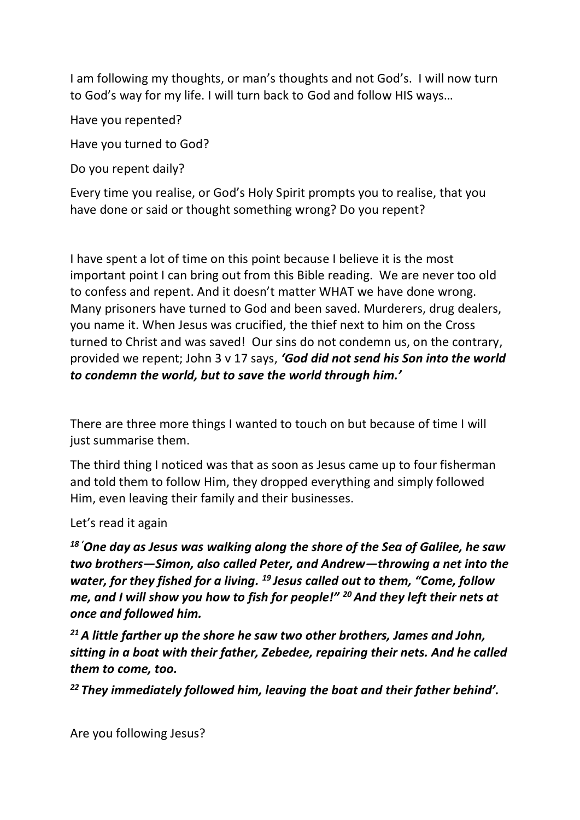I am following my thoughts, or man's thoughts and not God's. I will now turn to God's way for my life. I will turn back to God and follow HIS ways…

Have you repented?

Have you turned to God?

Do you repent daily?

Every time you realise, or God's Holy Spirit prompts you to realise, that you have done or said or thought something wrong? Do you repent?

I have spent a lot of time on this point because I believe it is the most important point I can bring out from this Bible reading. We are never too old to confess and repent. And it doesn't matter WHAT we have done wrong. Many prisoners have turned to God and been saved. Murderers, drug dealers, you name it. When Jesus was crucified, the thief next to him on the Cross turned to Christ and was saved! Our sins do not condemn us, on the contrary, provided we repent; John 3 v 17 says, *'God did not send his Son into the world to condemn the world, but to save the world through him.'*

There are three more things I wanted to touch on but because of time I will just summarise them.

The third thing I noticed was that as soon as Jesus came up to four fisherman and told them to follow Him, they dropped everything and simply followed Him, even leaving their family and their businesses.

Let's read it again

*<sup>18</sup> 'One day as Jesus was walking along the shore of the Sea of Galilee, he saw two brothers—Simon, also called Peter, and Andrew—throwing a net into the water, for they fished for a living. <sup>19</sup> Jesus called out to them, "Come, follow me, and I will show you how to fish for people!" <sup>20</sup>And they left their nets at once and followed him.*

*<sup>21</sup>A little farther up the shore he saw two other brothers, James and John, sitting in a boat with their father, Zebedee, repairing their nets. And he called them to come, too.* 

*<sup>22</sup> They immediately followed him, leaving the boat and their father behind'.*

Are you following Jesus?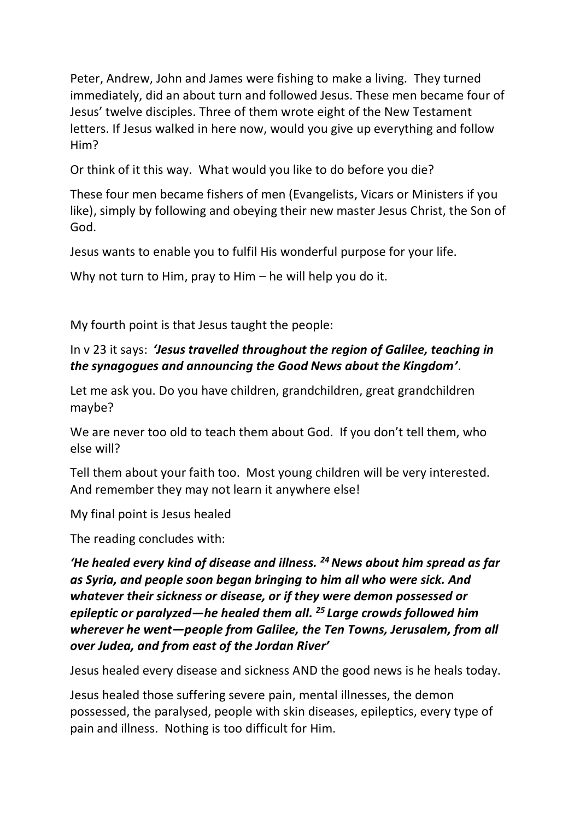Peter, Andrew, John and James were fishing to make a living. They turned immediately, did an about turn and followed Jesus. These men became four of Jesus' twelve disciples. Three of them wrote eight of the New Testament letters. If Jesus walked in here now, would you give up everything and follow Him?

Or think of it this way. What would you like to do before you die?

These four men became fishers of men (Evangelists, Vicars or Ministers if you like), simply by following and obeying their new master Jesus Christ, the Son of God.

Jesus wants to enable you to fulfil His wonderful purpose for your life.

Why not turn to Him, pray to Him – he will help you do it.

My fourth point is that Jesus taught the people:

## In v 23 it says: *'Jesus travelled throughout the region of Galilee, teaching in the synagogues and announcing the Good News about the Kingdom'*.

Let me ask you. Do you have children, grandchildren, great grandchildren maybe?

We are never too old to teach them about God. If you don't tell them, who else will?

Tell them about your faith too. Most young children will be very interested. And remember they may not learn it anywhere else!

My final point is Jesus healed

The reading concludes with:

*'He healed every kind of disease and illness. <sup>24</sup>News about him spread as far as Syria, and people soon began bringing to him all who were sick. And whatever their sickness or disease, or if they were demon possessed or epileptic or paralyzed—he healed them all. <sup>25</sup> Large crowds followed him wherever he went—people from Galilee, the Ten Towns, Jerusalem, from all over Judea, and from east of the Jordan River'*

Jesus healed every disease and sickness AND the good news is he heals today.

Jesus healed those suffering severe pain, mental illnesses, the demon possessed, the paralysed, people with skin diseases, epileptics, every type of pain and illness. Nothing is too difficult for Him.